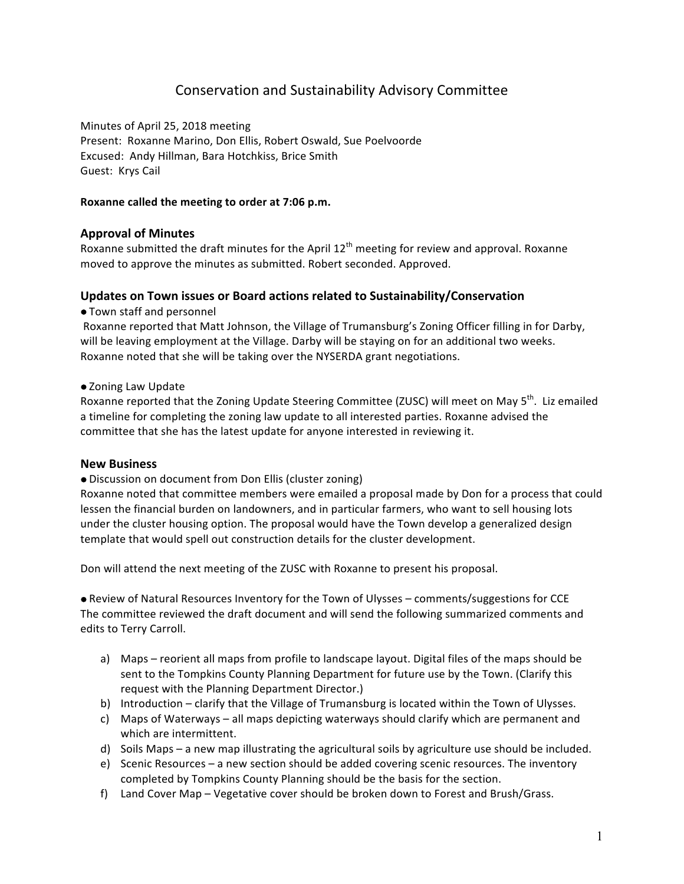# Conservation and Sustainability Advisory Committee

Minutes of April 25, 2018 meeting Present: Roxanne Marino, Don Ellis, Robert Oswald, Sue Poelvoorde Excused: Andy Hillman, Bara Hotchkiss, Brice Smith Guest: Krys Cail

#### Roxanne called the meeting to order at 7:06 p.m.

# **Approval of Minutes**

Roxanne submitted the draft minutes for the April  $12<sup>th</sup>$  meeting for review and approval. Roxanne moved to approve the minutes as submitted. Robert seconded. Approved.

## **Updates on Town issues or Board actions related to Sustainability/Conservation**

 $\bullet$  Town staff and personnel

Roxanne reported that Matt Johnson, the Village of Trumansburg's Zoning Officer filling in for Darby, will be leaving employment at the Village. Darby will be staying on for an additional two weeks. Roxanne noted that she will be taking over the NYSERDA grant negotiations.

#### • Zoning Law Update

Roxanne reported that the Zoning Update Steering Committee (ZUSC) will meet on May 5<sup>th</sup>. Liz emailed a timeline for completing the zoning law update to all interested parties. Roxanne advised the committee that she has the latest update for anyone interested in reviewing it.

#### **New Business**

 $\bullet$  Discussion on document from Don Ellis (cluster zoning)

Roxanne noted that committee members were emailed a proposal made by Don for a process that could lessen the financial burden on landowners, and in particular farmers, who want to sell housing lots under the cluster housing option. The proposal would have the Town develop a generalized design template that would spell out construction details for the cluster development.

Don will attend the next meeting of the ZUSC with Roxanne to present his proposal.

• Review of Natural Resources Inventory for the Town of Ulysses – comments/suggestions for CCE The committee reviewed the draft document and will send the following summarized comments and edits to Terry Carroll.

- a) Maps reorient all maps from profile to landscape layout. Digital files of the maps should be sent to the Tompkins County Planning Department for future use by the Town. (Clarify this request with the Planning Department Director.)
- b) Introduction clarify that the Village of Trumansburg is located within the Town of Ulysses.
- c) Maps of Waterways all maps depicting waterways should clarify which are permanent and which are intermittent.
- d) Soils Maps a new map illustrating the agricultural soils by agriculture use should be included.
- e) Scenic Resources a new section should be added covering scenic resources. The inventory completed by Tompkins County Planning should be the basis for the section.
- f) Land Cover Map Vegetative cover should be broken down to Forest and Brush/Grass.